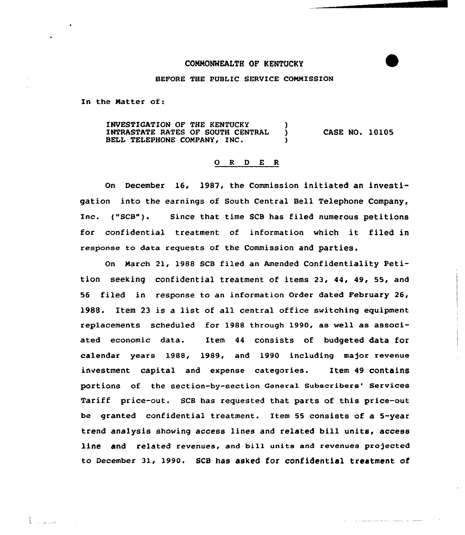## COMMONWEALTH OF KENTUCKY

## BEFORE THE PUBLIC SERVICE COMMISSION

In the Natter of:

الحسندان ال

INVESTIGATION OF THE KENTUCKY INTRASTATE RATES OF SOUTH CENTRAL BELL TELEPHONE COMPANY, INC. CASE NO. 10105

## 0 <sup>R</sup> <sup>D</sup> E <sup>R</sup>

On December 16, 1987, the Commission initiated an investigation into the earnings of South Central Bell Telephone Company, Inc. ("SCB"). Since that time SCB has filed numerous petitions for confidential treatment of information which it filed in response to data requests of the Commission and parties.

On Narch 21, 1988 SCB filed an Amended Confidentiality Petition seeking confidential treatment of items 23, 44, 49, 55, and 56 filed in response to an information Order dated February 26, 1988. Item <sup>23</sup> is a list of all central office switching equipment replacements scheduled for 1988 through 1990, as well as associated economic data. Item 44 consists of budgeted data for calendar years 1988, 1989, and 1990 including major revenue investment capital and expense categories. Item 49 contains portions of the section-by-section General Subscribers' Services Tariff price-out. SCB has requested that parts of this price-out be granted confidential treatment. Item 55 consists of a 5-year trend analysis showing access lines and related bill units, access line and related revenues, and bill units and revenues projected to December 31, 1990. scB has asked for confidential treatment of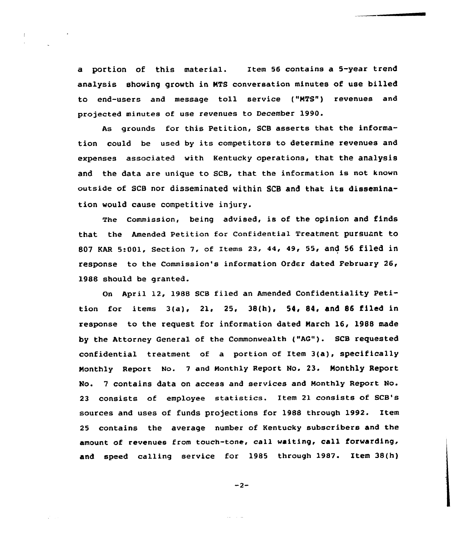a portion of this material. Item 56 contains a 5-year trend analysis showing growth in NTS conversation minutes of use billed to end-users and message toll service ("MTS") revenues and projected minutes of use revenues to December 1990.

As grounds for this Petition, SCB asserts that the information could be used by its competitors to determine revenues and expenses associated with Kentucky operations, that the analysis and the data are unique to SCB, that the information is not known outside of SCB nor disseminated within SCB and that its dissemination would cause competitive injury.

The Commission, being advised, is of the opinion and finds that the Amended Petition for Confidential Treatment pursuant to 807 KAR 5:001, Section 7, of Items 23, 44, 49, 55, and 56 filed in response to the Commission's information Order dated February 26, 1988 should be granted.

On April 12, 1988 SCB filed an Amended Confidentiality Petition for items 3(a), 21, 25, 38(h), 54, 84, and 86 filed in response to the request for information dated Narch 16, 1988 made by the Attorney General of the Commonwealth ("AG"). SCB requested confidential treatment of a portion of Item 3(a), specifically Nonthly Report No. <sup>7</sup> and Monthly Report No. 23. Nonthly Report No. 7 contains data on access and services and Monthly Report No. <sup>23</sup> consists of employee statistics. Item 21 consists of SCB's sources and uses of funds projections for 1988 through 1992. Item 25 contains the average number of Kentucky subscribers and the amount of revenues from touch-tone, call waiting, eall forwarding, and speed calling service for 1985 through 1987. Item 38(h)

 $-2-$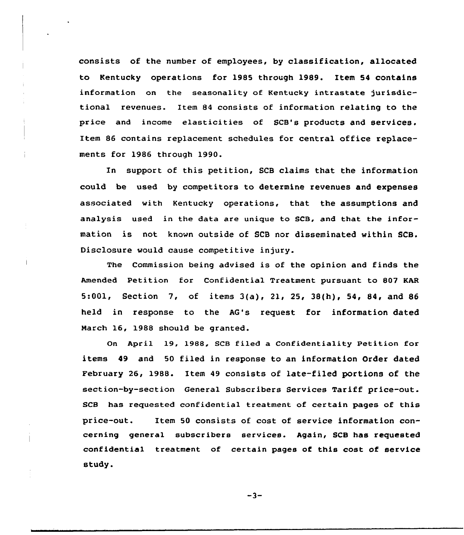consists of the number of employees, by classification, allocated to Kentucky operations for 1985 through l989. Item 54 contains information on the seasonality of Kentucky intrastate jurisdictional revenues. Item 84 consists of information relating to the price and income elasticities of SCB's products and services. Item 86 contains replacement schedules for central office replacements for 1986 through 1990.

In support of this petition, SCB claims that the information could be used by competitors to determine revenues and expenses associated with Kentucky operations, that the assumptions and analysis used in the data are unique to SCB, and that the information is not known outside of SCB nor disseminated within SCB. Disclosure would cause competitive injury.

The Commission being advised is of the opinion and finds the Amended Petition for Confidential Treatment pursuant to 807 KAR 5:001, Section 7, of items 3(a), 21, 25, 38(h), 54, 84, and 86 held in response to the AG's request for information dated March 16, 1988 should be granted.

On April 19, 1988, SCB filed a Confidentiality Petition for items 49 and 50 filed in response to an information Drder dated February 26, 1988. Item 49 consists of late-filed portions of the section-by-section General Subscribers Services Tariff price-out. SCB has requested confidential treatment of certain pages of this price-out. Item 50 consists of cost of service information concerning general subscribers services. Again, SCB has requested confidential treatment of certain pages of this cost of service study.

 $-3-$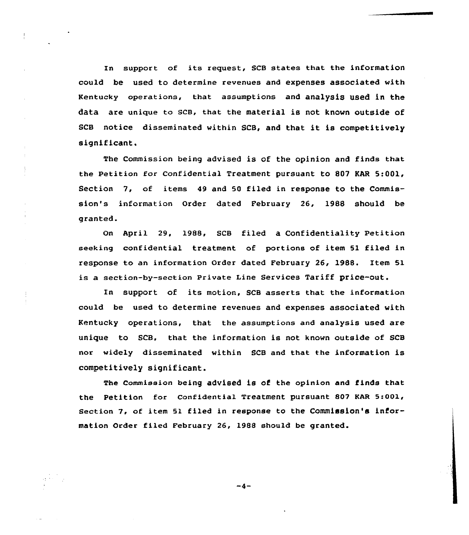In support of its request, SCB states that the information could be used to determine revenues and expenses associated with Kentucky operations, that assumptions and analysis used in the data are unique to SCB, that the material is not known outside of SCB notice disseminated within SCB, and that it is competitively significant.

The Commission being advised is of the opinion and finds that the Petition for Confidential Treatment pursuant to 807 KAR 5:001. Section 7, of items 49 and 50 filed in response to the Commission's information Order dated February 26, 1988 should be granted.

Qn April 29. 1988, SCB filed a Confidentiality Petition seeking confidential treatment of portions of item 51 filed in response to an information Order dated February 26, 1988. Item 51 is a section-by-section Private Line Services Tariff price-out.

In support of its motion, SCB asserts that the information could be used to determine revenues and expenses associated with Kentucky operations, that the assumptions and analysis used are unique to SCB, that the information is not known outside of SCB ner widely disseminated within SCB and that the information is competitively significant.

The Commission being advised is of the opinion and finds that the Petition for Confidential Treatment pursuant 807 KAR 5:001, Section 7, of item 5l filed in response to the Commission's information Order filed February 26, 1988 should be granted.

 $-4-$